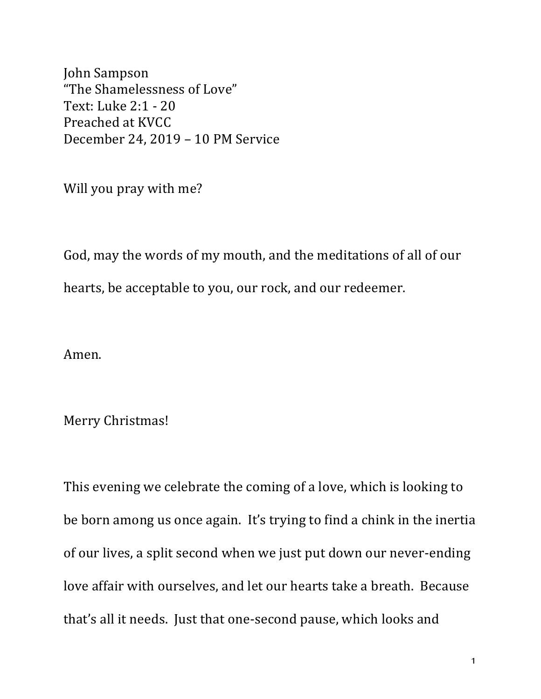John Sampson "The Shamelessness of Love" Text: Luke 2:1 - 20 Preached at KVCC December 24, 2019 - 10 PM Service

Will you pray with me?

God, may the words of my mouth, and the meditations of all of our hearts, be acceptable to you, our rock, and our redeemer.

Amen.

Merry Christmas!

This evening we celebrate the coming of a love, which is looking to be born among us once again. It's trying to find a chink in the inertia of our lives, a split second when we just put down our never-ending love affair with ourselves, and let our hearts take a breath. Because that's all it needs. Just that one-second pause, which looks and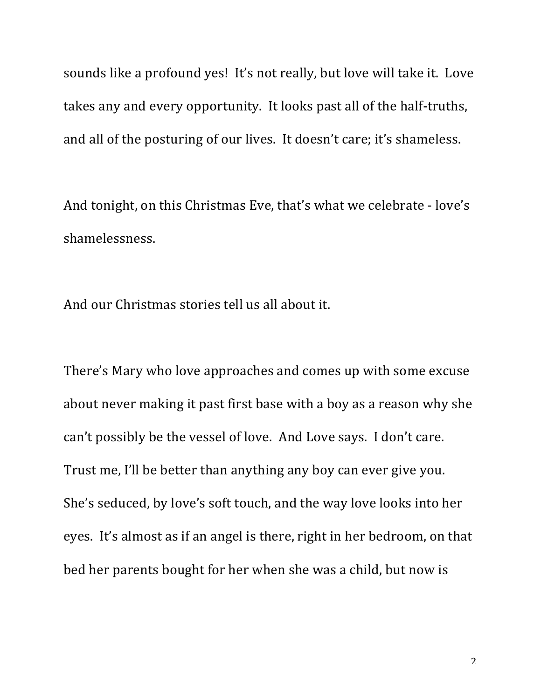sounds like a profound yes! It's not really, but love will take it. Love takes any and every opportunity. It looks past all of the half-truths, and all of the posturing of our lives. It doesn't care; it's shameless.

And tonight, on this Christmas Eve, that's what we celebrate - love's shamelessness.

And our Christmas stories tell us all about it.

There's Mary who love approaches and comes up with some excuse about never making it past first base with a boy as a reason why she can't possibly be the vessel of love. And Love says. I don't care. Trust me, I'll be better than anything any boy can ever give you. She's seduced, by love's soft touch, and the way love looks into her eyes. It's almost as if an angel is there, right in her bedroom, on that bed her parents bought for her when she was a child, but now is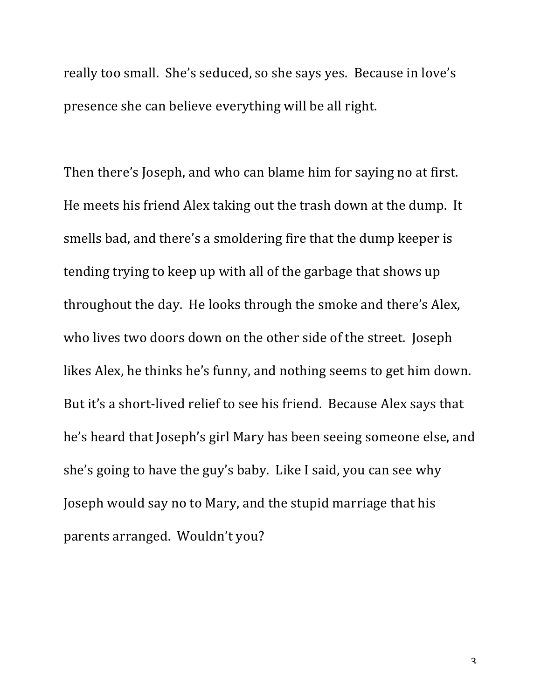really too small. She's seduced, so she says yes. Because in love's presence she can believe everything will be all right.

Then there's Joseph, and who can blame him for saying no at first. He meets his friend Alex taking out the trash down at the dump. It smells bad, and there's a smoldering fire that the dump keeper is tending trying to keep up with all of the garbage that shows up throughout the day. He looks through the smoke and there's Alex, who lives two doors down on the other side of the street. Joseph likes Alex, he thinks he's funny, and nothing seems to get him down. But it's a short-lived relief to see his friend. Because Alex says that he's heard that Joseph's girl Mary has been seeing someone else, and she's going to have the guy's baby. Like I said, you can see why Joseph would say no to Mary, and the stupid marriage that his parents arranged. Wouldn't you?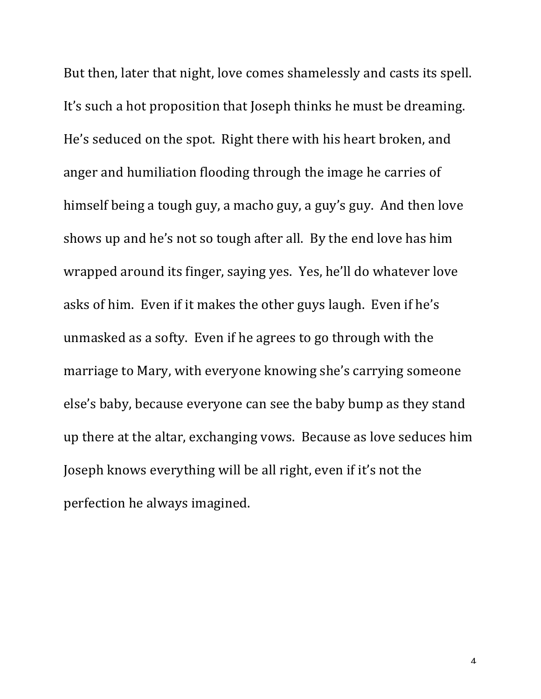But then, later that night, love comes shamelessly and casts its spell. It's such a hot proposition that Joseph thinks he must be dreaming. He's seduced on the spot. Right there with his heart broken, and anger and humiliation flooding through the image he carries of himself being a tough guy, a macho guy, a guy's guy. And then love shows up and he's not so tough after all. By the end love has him wrapped around its finger, saying yes. Yes, he'll do whatever love asks of him. Even if it makes the other guys laugh. Even if he's unmasked as a softy. Even if he agrees to go through with the marriage to Mary, with everyone knowing she's carrying someone else's baby, because everyone can see the baby bump as they stand up there at the altar, exchanging vows. Because as love seduces him Joseph knows everything will be all right, even if it's not the perfection he always imagined.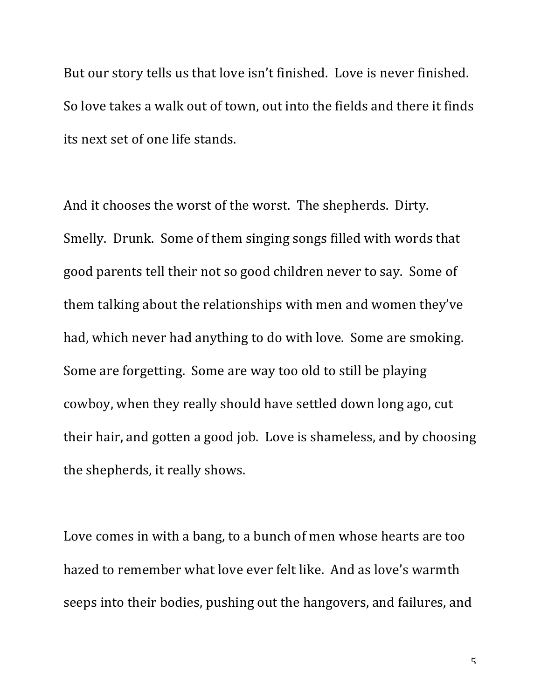But our story tells us that love isn't finished. Love is never finished. So love takes a walk out of town, out into the fields and there it finds its next set of one life stands.

And it chooses the worst of the worst. The shepherds. Dirty. Smelly. Drunk. Some of them singing songs filled with words that good parents tell their not so good children never to say. Some of them talking about the relationships with men and women they've had, which never had anything to do with love. Some are smoking. Some are forgetting. Some are way too old to still be playing cowboy, when they really should have settled down long ago, cut their hair, and gotten a good job. Love is shameless, and by choosing the shepherds, it really shows.

Love comes in with a bang, to a bunch of men whose hearts are too hazed to remember what love ever felt like. And as love's warmth seeps into their bodies, pushing out the hangovers, and failures, and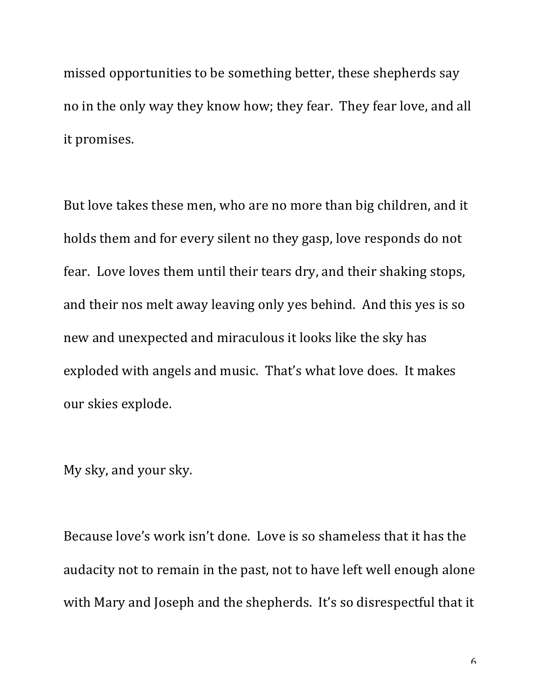missed opportunities to be something better, these shepherds say no in the only way they know how; they fear. They fear love, and all it promises.

But love takes these men, who are no more than big children, and it holds them and for every silent no they gasp, love responds do not fear. Love loves them until their tears dry, and their shaking stops, and their nos melt away leaving only yes behind. And this yes is so new and unexpected and miraculous it looks like the sky has exploded with angels and music. That's what love does. It makes our skies explode.

My sky, and your sky.

Because love's work isn't done. Love is so shameless that it has the audacity not to remain in the past, not to have left well enough alone with Mary and Joseph and the shepherds. It's so disrespectful that it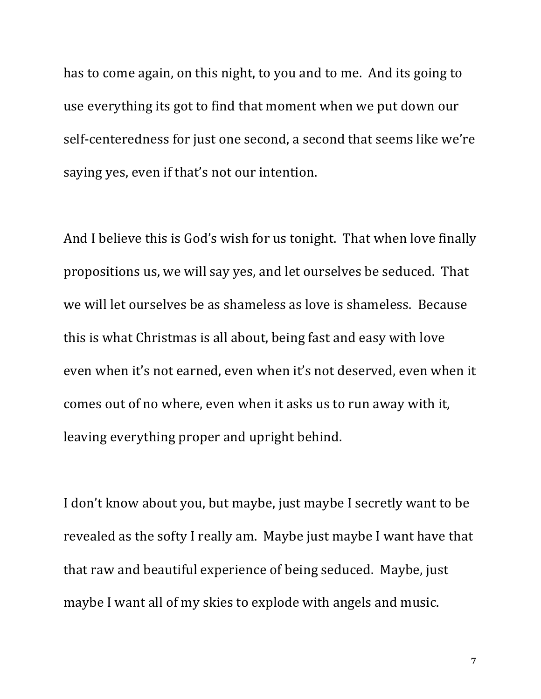has to come again, on this night, to you and to me. And its going to use everything its got to find that moment when we put down our self-centeredness for just one second, a second that seems like we're saying yes, even if that's not our intention.

And I believe this is God's wish for us tonight. That when love finally propositions us, we will say yes, and let ourselves be seduced. That we will let ourselves be as shameless as love is shameless. Because this is what Christmas is all about, being fast and easy with love even when it's not earned, even when it's not deserved, even when it comes out of no where, even when it asks us to run away with it, leaving everything proper and upright behind.

I don't know about you, but maybe, just maybe I secretly want to be revealed as the softy I really am. Maybe just maybe I want have that that raw and beautiful experience of being seduced. Maybe, just maybe I want all of my skies to explode with angels and music.